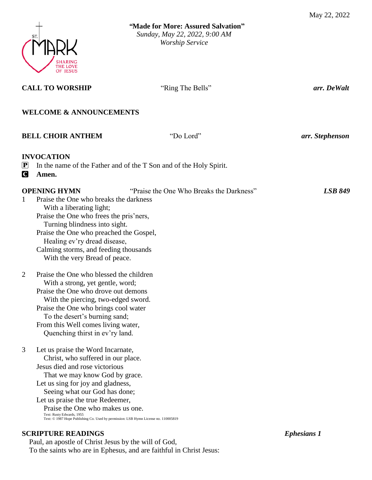

| <b>CALL TO WORSHIP</b>                                                                                                                                                                                                                                                                                                                                                                                             | "Ring The Bells"                                                   | arr. De Walt       |
|--------------------------------------------------------------------------------------------------------------------------------------------------------------------------------------------------------------------------------------------------------------------------------------------------------------------------------------------------------------------------------------------------------------------|--------------------------------------------------------------------|--------------------|
| <b>WELCOME &amp; ANNOUNCEMENTS</b>                                                                                                                                                                                                                                                                                                                                                                                 |                                                                    |                    |
| <b>BELL CHOIR ANTHEM</b>                                                                                                                                                                                                                                                                                                                                                                                           | "Do Lord"                                                          | arr. Stephenson    |
| <b>INVOCATION</b><br>$\left  \mathbf{P} \right $<br>$\blacksquare$<br>Amen.                                                                                                                                                                                                                                                                                                                                        | In the name of the Father and of the T Son and of the Holy Spirit. |                    |
| <b>OPENING HYMN</b><br>Praise the One who breaks the darkness<br>1<br>With a liberating light;<br>Praise the One who frees the pris'ners,<br>Turning blindness into sight.<br>Praise the One who preached the Gospel,<br>Healing ev'ry dread disease,<br>Calming storms, and feeding thousands<br>With the very Bread of peace.                                                                                    | "Praise the One Who Breaks the Darkness"                           | <b>LSB 849</b>     |
| $\overline{2}$<br>Praise the One who blessed the children<br>With a strong, yet gentle, word;<br>Praise the One who drove out demons<br>With the piercing, two-edged sword.<br>Praise the One who brings cool water<br>To the desert's burning sand;<br>From this Well comes living water,<br>Quenching thirst in ev'ry land.                                                                                      |                                                                    |                    |
| 3<br>Let us praise the Word Incarnate,<br>Christ, who suffered in our place.<br>Jesus died and rose victorious<br>That we may know God by grace.<br>Let us sing for joy and gladness,<br>Seeing what our God has done;<br>Let us praise the true Redeemer,<br>Praise the One who makes us one.<br>Text: Rusty Edwards, 1955<br>Text: © 1987 Hope Publishing Co. Used by permission: LSB Hymn License no. 110005819 |                                                                    |                    |
| <b>SCRIPTURE READINGS</b>                                                                                                                                                                                                                                                                                                                                                                                          |                                                                    | <b>Ephesians 1</b> |

Paul, an apostle of Christ Jesus by the will of God,

To the saints who are in Ephesus, and are faithful in Christ Jesus: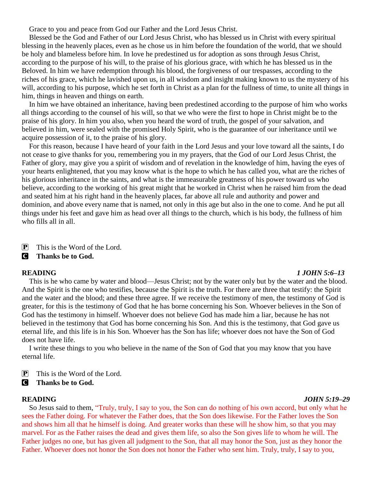Grace to you and peace from God our Father and the Lord Jesus Christ.

Blessed be the God and Father of our Lord Jesus Christ, who has blessed us in Christ with every spiritual blessing in the heavenly places, even as he chose us in him before the foundation of the world, that we should be holy and blameless before him. In love he predestined us for adoption as sons through Jesus Christ, according to the purpose of his will, to the praise of his glorious grace, with which he has blessed us in the Beloved. In him we have redemption through his blood, the forgiveness of our trespasses, according to the riches of his grace, which he lavished upon us, in all wisdom and insight making known to us the mystery of his will, according to his purpose, which he set forth in Christ as a plan for the fullness of time, to unite all things in him, things in heaven and things on earth.

In him we have obtained an inheritance, having been predestined according to the purpose of him who works all things according to the counsel of his will, so that we who were the first to hope in Christ might be to the praise of his glory. In him you also, when you heard the word of truth, the gospel of your salvation, and believed in him, were sealed with the promised Holy Spirit, who is the guarantee of our inheritance until we acquire possession of it, to the praise of his glory.

For this reason, because I have heard of your faith in the Lord Jesus and your love toward all the saints, I do not cease to give thanks for you, remembering you in my prayers, that the God of our Lord Jesus Christ, the Father of glory, may give you a spirit of wisdom and of revelation in the knowledge of him, having the eyes of your hearts enlightened, that you may know what is the hope to which he has called you, what are the riches of his glorious inheritance in the saints, and what is the immeasurable greatness of his power toward us who believe, according to the working of his great might that he worked in Christ when he raised him from the dead and seated him at his right hand in the heavenly places, far above all rule and authority and power and dominion, and above every name that is named, not only in this age but also in the one to come. And he put all things under his feet and gave him as head over all things to the church, which is his body, the fullness of him who fills all in all.

 $\boxed{\mathbf{P}}$  This is the Word of the Lord.

## C **Thanks be to God.**

#### **READING** *1 JOHN 5:6–13*

This is he who came by water and blood—Jesus Christ; not by the water only but by the water and the blood. And the Spirit is the one who testifies, because the Spirit is the truth. For there are three that testify: the Spirit and the water and the blood; and these three agree. If we receive the testimony of men, the testimony of God is greater, for this is the testimony of God that he has borne concerning his Son. Whoever believes in the Son of God has the testimony in himself. Whoever does not believe God has made him a liar, because he has not believed in the testimony that God has borne concerning his Son. And this is the testimony, that God gave us eternal life, and this life is in his Son. Whoever has the Son has life; whoever does not have the Son of God does not have life.

I write these things to you who believe in the name of the Son of God that you may know that you have eternal life.

 $\boxed{\mathbf{P}}$  This is the Word of the Lord.

# **C** Thanks be to God.

#### **READING** *JOHN 5:19–29*

So Jesus said to them, "Truly, truly, I say to you, the Son can do nothing of his own accord, but only what he sees the Father doing. For whatever the Father does, that the Son does likewise. For the Father loves the Son and shows him all that he himself is doing. And greater works than these will he show him, so that you may marvel. For as the Father raises the dead and gives them life, so also the Son gives life to whom he will. The Father judges no one, but has given all judgment to the Son, that all may honor the Son, just as they honor the Father. Whoever does not honor the Son does not honor the Father who sent him. Truly, truly, I say to you,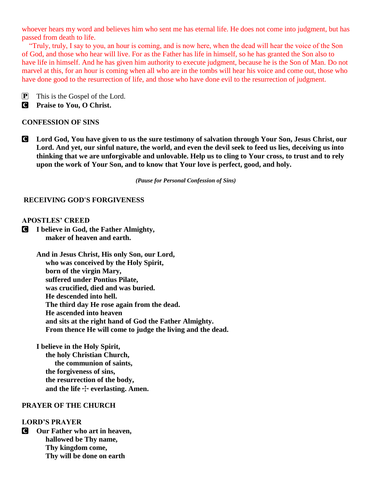whoever hears my word and believes him who sent me has eternal life. He does not come into judgment, but has passed from death to life.

"Truly, truly, I say to you, an hour is coming, and is now here, when the dead will hear the voice of the Son of God, and those who hear will live. For as the Father has life in himself, so he has granted the Son also to have life in himself. And he has given him authority to execute judgment, because he is the Son of Man. Do not marvel at this, for an hour is coming when all who are in the tombs will hear his voice and come out, those who have done good to the resurrection of life, and those who have done evil to the resurrection of judgment.

P This is the Gospel of the Lord.

C **Praise to You, O Christ.**

## **CONFESSION OF SINS**

C **Lord God, You have given to us the sure testimony of salvation through Your Son, Jesus Christ, our Lord. And yet, our sinful nature, the world, and even the devil seek to feed us lies, deceiving us into thinking that we are unforgivable and unlovable. Help us to cling to Your cross, to trust and to rely upon the work of Your Son, and to know that Your love is perfect, good, and holy.** 

*(Pause for Personal Confession of Sins)*

#### **RECEIVING GOD'S FORGIVENESS**

### **APOSTLES' CREED**

C **I believe in God, the Father Almighty, maker of heaven and earth.**

> **And in Jesus Christ, His only Son, our Lord, who was conceived by the Holy Spirit, born of the virgin Mary, suffered under Pontius Pilate, was crucified, died and was buried. He descended into hell. The third day He rose again from the dead. He ascended into heaven and sits at the right hand of God the Father Almighty. From thence He will come to judge the living and the dead.**

**I believe in the Holy Spirit, the holy Christian Church, the communion of saints, the forgiveness of sins, the resurrection of the body,** and the life  $\div$  everlasting. Amen.

### **PRAYER OF THE CHURCH**

## **LORD'S PRAYER**

C **Our Father who art in heaven, hallowed be Thy name, Thy kingdom come, Thy will be done on earth**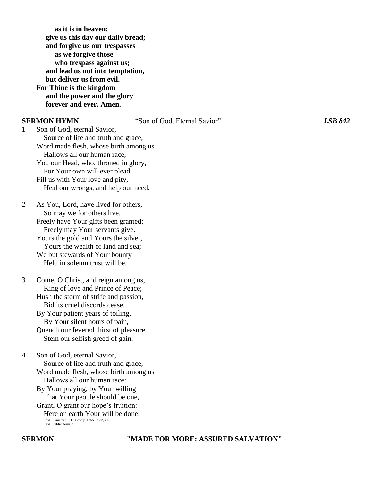**as it is in heaven; give us this day our daily bread; and forgive us our trespasses as we forgive those who trespass against us; and lead us not into temptation, but deliver us from evil. For Thine is the kingdom and the power and the glory forever and ever. Amen.**

**SERMON HYMN** "Son of God, Eternal Savior" *LSB 842*

1 Son of God, eternal Savior, Source of life and truth and grace, Word made flesh, whose birth among us Hallows all our human race, You our Head, who, throned in glory, For Your own will ever plead: Fill us with Your love and pity, Heal our wrongs, and help our need.

2 As You, Lord, have lived for others, So may we for others live. Freely have Your gifts been granted; Freely may Your servants give. Yours the gold and Yours the silver, Yours the wealth of land and sea; We but stewards of Your bounty Held in solemn trust will be.

3 Come, O Christ, and reign among us, King of love and Prince of Peace; Hush the storm of strife and passion, Bid its cruel discords cease. By Your patient years of toiling, By Your silent hours of pain, Quench our fevered thirst of pleasure, Stem our selfish greed of gain.

4 Son of God, eternal Savior, Source of life and truth and grace, Word made flesh, whose birth among us Hallows all our human race: By Your praying, by Your willing

 That Your people should be one, Grant, O grant our hope's fruition:

 Here on earth Your will be done. Text: Somerset T. C. Lowry, 1855–1932, alt. Text: Public domain